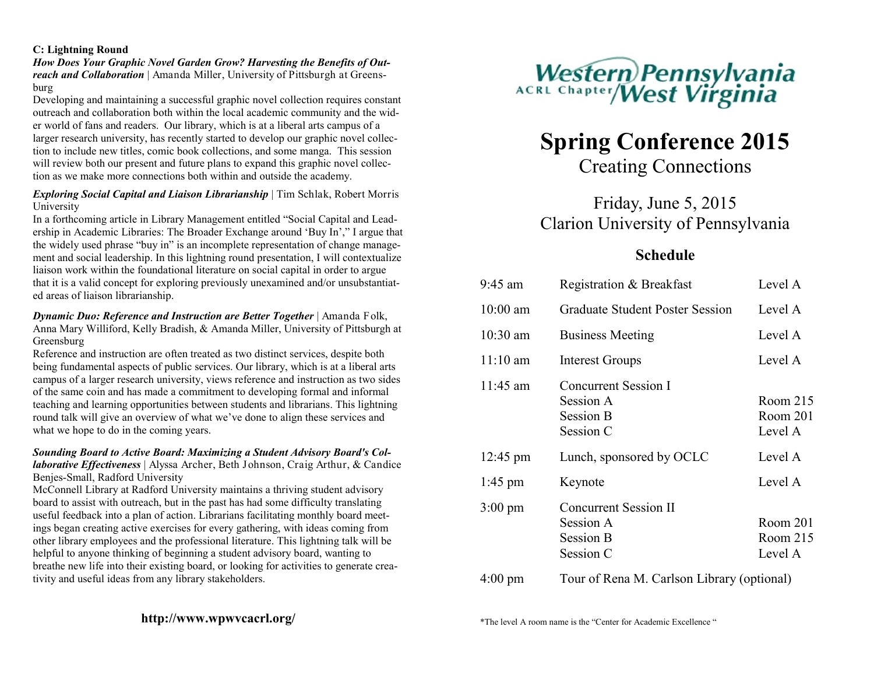#### **C: Lightning Round**

*How Does Your Graphic Novel Garden Grow? Harvesting the Benefits of Outreach and Collaboration* | Amanda Miller, University of Pittsburgh at Greensburg

Developing and maintaining a successful graphic novel collection requires constant outreach and collaboration both within the local academic community and the wider world of fans and readers. Our library, which is at a liberal arts campus of a larger research university, has recently started to develop our graphic novel collection to include new titles, comic book collections, and some manga. This session will review both our present and future plans to expand this graphic novel collection as we make more connections both within and outside the academy.

#### *Exploring Social Capital and Liaison Librarianship* | Tim Schlak, Robert Morris University

In a forthcoming article in Library Management entitled "Social Capital and Leadership in Academic Libraries: The Broader Exchange around 'Buy In'," I argue that the widely used phrase "buy in" is an incomplete representation of change management and social leadership. In this lightning round presentation, I will contextualize liaison work within the foundational literature on social capital in order to argue that it is a valid concept for exploring previously unexamined and/or unsubstantiated areas of liaison librarianship.

*Dynamic Duo: Reference and Instruction are Better Together* | Amanda Folk, Anna Mary Williford, Kelly Bradish, & Amanda Miller, University of Pittsburgh at Greensburg

Reference and instruction are often treated as two distinct services, despite both being fundamental aspects of public services. Our library, which is at a liberal arts campus of a larger research university, views reference and instruction as two sides of the same coin and has made a commitment to developing formal and informal teaching and learning opportunities between students and librarians. This lightning round talk will give an overview of what we've done to align these services and what we hope to do in the coming years.

#### *Sounding Board to Active Board: Maximizing a Student Advisory Board's Collaborative Effectiveness* | Alyssa Archer, Beth Johnson, Craig Arthur, & Candice Benjes-Small, Radford University

McConnell Library at Radford University maintains a thriving student advisory board to assist with outreach, but in the past has had some difficulty translating useful feedback into a plan of action. Librarians facilitating monthly board meetings began creating active exercises for every gathering, with ideas coming from other library employees and the professional literature. This lightning talk will be helpful to anyone thinking of beginning a student advisory board, wanting to breathe new life into their existing board, or looking for activities to generate creativity and useful ideas from any library stakeholders.



# **Spring Conference 2015**

Creating Connections

## Friday, June 5, 2015 Clarion University of Pennsylvania

### **Schedule**

| $9:45$ am          | Registration & Breakfast                                                   | Level A                         |
|--------------------|----------------------------------------------------------------------------|---------------------------------|
| $10:00$ am         | <b>Graduate Student Poster Session</b>                                     | Level A                         |
| $10:30$ am         | <b>Business Meeting</b>                                                    | Level A                         |
| $11:10 \text{ am}$ | <b>Interest Groups</b>                                                     | Level A                         |
| $11:45$ am         | Concurrent Session I<br>Session A<br><b>Session B</b><br>Session C         | Room 215<br>Room 201<br>Level A |
| $12:45 \text{ pm}$ | Lunch, sponsored by OCLC                                                   | Level A                         |
| $1:45 \text{ pm}$  | Keynote                                                                    | Level A                         |
| $3:00 \text{ pm}$  | <b>Concurrent Session II</b><br>Session A<br><b>Session B</b><br>Session C | Room 201<br>Room 215<br>Level A |
| $4:00 \text{ pm}$  | Tour of Rena M. Carlson Library (optional)                                 |                                 |

\*The level A room name is the "Center for Academic Excellence "